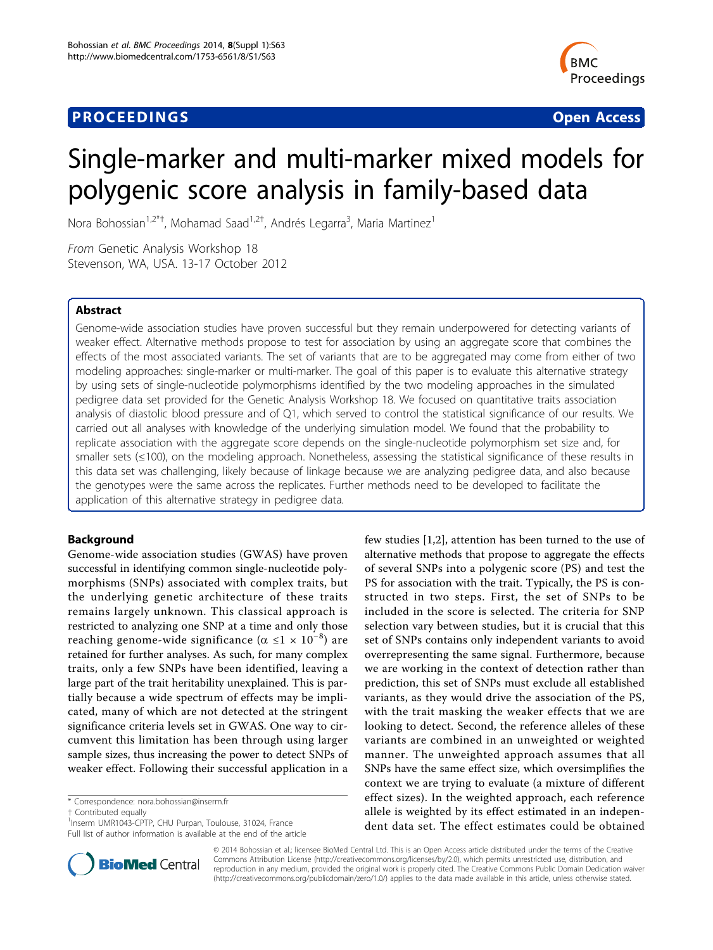## **PROCEEDINGS STATE SERVICE SERVICE SERVICE SERVICE SERVICE SERVICE SERVICE SERVICE SERVICE SERVICE SERVICE SERVICE SERVICE SERVICE SERVICE SERVICE SERVICE SERVICE SERVICE SERVICE SERVICE SERVICE SERVICE SERVICE SERVICE S**



# Single-marker and multi-marker mixed models for polygenic score analysis in family-based data

Nora Bohossian<sup>1,2\*†</sup>, Mohamad Saad<sup>1,2†</sup>, Andrés Legarra<sup>3</sup>, Maria Martinez<sup>1</sup>

From Genetic Analysis Workshop 18 Stevenson, WA, USA. 13-17 October 2012

#### Abstract

Genome-wide association studies have proven successful but they remain underpowered for detecting variants of weaker effect. Alternative methods propose to test for association by using an aggregate score that combines the effects of the most associated variants. The set of variants that are to be aggregated may come from either of two modeling approaches: single-marker or multi-marker. The goal of this paper is to evaluate this alternative strategy by using sets of single-nucleotide polymorphisms identified by the two modeling approaches in the simulated pedigree data set provided for the Genetic Analysis Workshop 18. We focused on quantitative traits association analysis of diastolic blood pressure and of Q1, which served to control the statistical significance of our results. We carried out all analyses with knowledge of the underlying simulation model. We found that the probability to replicate association with the aggregate score depends on the single-nucleotide polymorphism set size and, for smaller sets (≤100), on the modeling approach. Nonetheless, assessing the statistical significance of these results in this data set was challenging, likely because of linkage because we are analyzing pedigree data, and also because the genotypes were the same across the replicates. Further methods need to be developed to facilitate the application of this alternative strategy in pedigree data.

#### Background

Genome-wide association studies (GWAS) have proven successful in identifying common single-nucleotide polymorphisms (SNPs) associated with complex traits, but the underlying genetic architecture of these traits remains largely unknown. This classical approach is restricted to analyzing one SNP at a time and only those reaching genome-wide significance ( $\alpha \leq 1 \times 10^{-8}$ ) are retained for further analyses. As such, for many complex traits, only a few SNPs have been identified, leaving a large part of the trait heritability unexplained. This is partially because a wide spectrum of effects may be implicated, many of which are not detected at the stringent significance criteria levels set in GWAS. One way to circumvent this limitation has been through using larger sample sizes, thus increasing the power to detect SNPs of weaker effect. Following their successful application in a

† Contributed equally <sup>1</sup>

<sup>1</sup>Inserm UMR1043-CPTP, CHU Purpan, Toulouse, 31024, France Full list of author information is available at the end of the article few studies [[1,2\]](#page-3-0), attention has been turned to the use of alternative methods that propose to aggregate the effects of several SNPs into a polygenic score (PS) and test the PS for association with the trait. Typically, the PS is constructed in two steps. First, the set of SNPs to be included in the score is selected. The criteria for SNP selection vary between studies, but it is crucial that this set of SNPs contains only independent variants to avoid overrepresenting the same signal. Furthermore, because we are working in the context of detection rather than prediction, this set of SNPs must exclude all established variants, as they would drive the association of the PS, with the trait masking the weaker effects that we are looking to detect. Second, the reference alleles of these variants are combined in an unweighted or weighted manner. The unweighted approach assumes that all SNPs have the same effect size, which oversimplifies the context we are trying to evaluate (a mixture of different effect sizes). In the weighted approach, each reference allele is weighted by its effect estimated in an independent data set. The effect estimates could be obtained



© 2014 Bohossian et al.; licensee BioMed Central Ltd. This is an Open Access article distributed under the terms of the Creative Commons Attribution License [\(http://creativecommons.org/licenses/by/2.0](http://creativecommons.org/licenses/by/2.0)), which permits unrestricted use, distribution, and reproduction in any medium, provided the original work is properly cited. The Creative Commons Public Domain Dedication waiver [\(http://creativecommons.org/publicdomain/zero/1.0/](http://creativecommons.org/publicdomain/zero/1.0/)) applies to the data made available in this article, unless otherwise stated.

<sup>\*</sup> Correspondence: [nora.bohossian@inserm.fr](mailto:nora.bohossian@inserm.fr)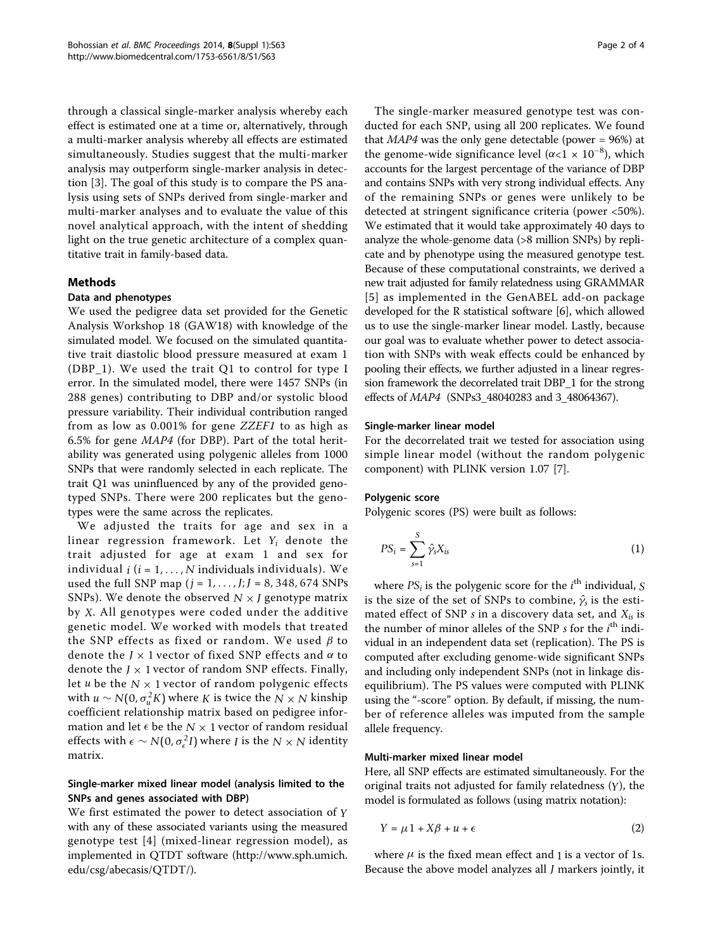through a classical single-marker analysis whereby each effect is estimated one at a time or, alternatively, through a multi-marker analysis whereby all effects are estimated simultaneously. Studies suggest that the multi-marker analysis may outperform single-marker analysis in detection [\[3](#page-3-0)]. The goal of this study is to compare the PS analysis using sets of SNPs derived from single-marker and multi-marker analyses and to evaluate the value of this novel analytical approach, with the intent of shedding light on the true genetic architecture of a complex quantitative trait in family-based data.

#### Methods

#### Data and phenotypes

We used the pedigree data set provided for the Genetic Analysis Workshop 18 (GAW18) with knowledge of the simulated model. We focused on the simulated quantitative trait diastolic blood pressure measured at exam 1 (DBP\_1). We used the trait Q1 to control for type I error. In the simulated model, there were 1457 SNPs (in 288 genes) contributing to DBP and/or systolic blood pressure variability. Their individual contribution ranged from as low as 0.001% for gene ZZEF1 to as high as 6.5% for gene MAP4 (for DBP). Part of the total heritability was generated using polygenic alleles from 1000 SNPs that were randomly selected in each replicate. The trait Q1 was uninfluenced by any of the provided genotyped SNPs. There were 200 replicates but the genotypes were the same across the replicates.

We adjusted the traits for age and sex in a linear regression framework. Let *Yi* denote the trait adjusted for age at exam 1 and sex for individual *i* (*i* = 1, ... , *N* individuals individuals). We used the full SNP map  $(j = 1, ..., J; J = 8, 348, 674$  SNPs SNPs). We denote the observed  $N \times J$  genotype matrix by *X*. All genotypes were coded under the additive genetic model. We worked with models that treated the SNP effects as fixed or random. We used  $\beta$  to denote the  $J \times 1$  vector of fixed SNP effects and  $\alpha$  to denote the  $J \times 1$  vector of random SNP effects. Finally, let *u* be the  $N \times 1$  vector of random polygenic effects with *u* ∼ *N*(0,  $\sigma_u^2 K$ ) where *K* is twice the *N* × *N* kinship coefficient relationship matrix based on pedigree information and let  $\epsilon$  be the *N*  $\times$  1 vector of random residual effects with  $\epsilon \sim N(0, \sigma_{\epsilon}^2 I)$  where *I* is the  $N \times N$  identity matrix.

#### Single-marker mixed linear model (analysis limited to the SNPs and genes associated with DBP)

We first estimated the power to detect association of *Y* with any of these associated variants using the measured genotype test [\[4\]](#page-3-0) (mixed-linear regression model), as implemented in QTDT software [\(http://www.sph.umich.](http://www.sph.umich.edu/csg/abecasis/QTDT/) [edu/csg/abecasis/QTDT/\)](http://www.sph.umich.edu/csg/abecasis/QTDT/).

The single-marker measured genotype test was conducted for each SNP, using all 200 replicates. We found that  $MAP4$  was the only gene detectable (power = 96%) at the genome-wide significance level ( $\alpha$ <1 × 10<sup>-8</sup>), which accounts for the largest percentage of the variance of DBP and contains SNPs with very strong individual effects. Any of the remaining SNPs or genes were unlikely to be detected at stringent significance criteria (power <50%). We estimated that it would take approximately 40 days to analyze the whole-genome data (>8 million SNPs) by replicate and by phenotype using the measured genotype test. Because of these computational constraints, we derived a new trait adjusted for family relatedness using GRAMMAR [[5](#page-3-0)] as implemented in the GenABEL add-on package developed for the R statistical software [[6](#page-3-0)], which allowed us to use the single-marker linear model. Lastly, because our goal was to evaluate whether power to detect association with SNPs with weak effects could be enhanced by pooling their effects, we further adjusted in a linear regression framework the decorrelated trait DBP\_1 for the strong effects of MAP4 (SNPs3\_48040283 and 3\_48064367).

#### Single-marker linear model

For the decorrelated trait we tested for association using simple linear model (without the random polygenic component) with PLINK version 1.07 [[7](#page-3-0)].

#### Polygenic score

Polygenic scores (PS) were built as follows:

$$
PS_i = \sum_{s=1}^{S} \hat{\gamma}_s X_{is} \tag{1}
$$

where  $PS_i$  is the polygenic score for the  $i^{\text{th}}$  individual, S is the size of the set of SNPs to combine,  $\hat{\gamma}_s$  is the estimated effect of SNP *s* in a discovery data set, and *Xis* is the number of minor alleles of the SNP *s* for the *i*<sup>th</sup> individual in an independent data set (replication). The PS is computed after excluding genome-wide significant SNPs and including only independent SNPs (not in linkage disequilibrium). The PS values were computed with PLINK using the "-score" option. By default, if missing, the number of reference alleles was imputed from the sample allele frequency.

#### Multi-marker mixed linear model

Here, all SNP effects are estimated simultaneously. For the original traits not adjusted for family relatedness (*Y*), the model is formulated as follows (using matrix notation):

$$
Y = \mu 1 + X\beta + u + \epsilon \tag{2}
$$

where  $\mu$  is the fixed mean effect and 1 is a vector of 1s. Because the above model analyzes all *J* markers jointly, it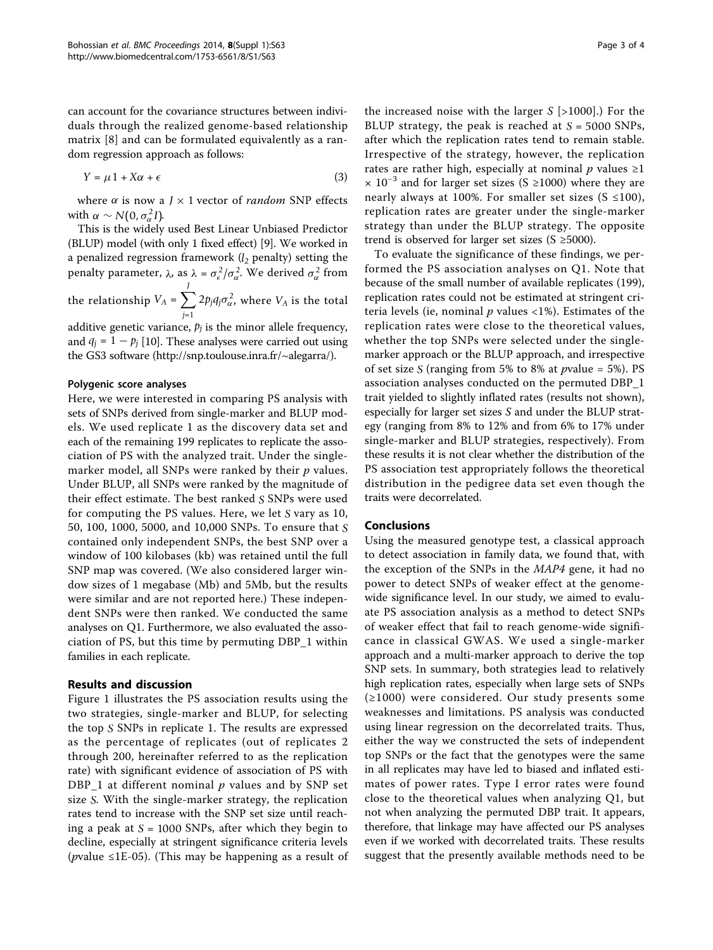can account for the covariance structures between individuals through the realized genome-based relationship matrix [[8\]](#page-3-0) and can be formulated equivalently as a random regression approach as follows:

$$
Y = \mu 1 + X\alpha + \epsilon \tag{3}
$$

where  $\alpha$  is now a *J*  $\times$  1 vector of *random* SNP effects with  $\alpha \sim N(0, \sigma_{\alpha}^2 I)$ .

This is the widely used Best Linear Unbiased Predictor (BLUP) model (with only 1 fixed effect) [[9](#page-3-0)]. We worked in a penalized regression framework (*l*<sup>2</sup> penalty) setting the penalty parameter, λ, as  $\lambda = \sigma_{\epsilon}^2 / \sigma_{\alpha}^2$ . We derived  $\sigma_{\alpha}^2$  from the relationship  $V_A = \sum^J$ *j*=1  $2p_jq_j\sigma_\alpha^2$ , where  $V_A$  is the total

additive genetic variance,  $p_j$  is the minor allele frequency, and  $q_j = 1 - p_j$  [\[10\]](#page-3-0). These analyses were carried out using the GS3 software (<http://snp.toulouse.inra.fr/~alegarra/>).

#### Polygenic score analyses

Here, we were interested in comparing PS analysis with sets of SNPs derived from single-marker and BLUP models. We used replicate 1 as the discovery data set and each of the remaining 199 replicates to replicate the association of PS with the analyzed trait. Under the singlemarker model, all SNPs were ranked by their  $p$  values. Under BLUP, all SNPs were ranked by the magnitude of their effect estimate. The best ranked *S* SNPs were used for computing the PS values. Here, we let *S* vary as 10, 50, 100, 1000, 5000, and 10,000 SNPs. To ensure that *S* contained only independent SNPs, the best SNP over a window of 100 kilobases (kb) was retained until the full SNP map was covered. (We also considered larger window sizes of 1 megabase (Mb) and 5Mb, but the results were similar and are not reported here.) These independent SNPs were then ranked. We conducted the same analyses on Q1. Furthermore, we also evaluated the association of PS, but this time by permuting DBP\_1 within families in each replicate.

#### Results and discussion

Figure [1](#page-3-0) illustrates the PS association results using the two strategies, single-marker and BLUP, for selecting the top *S* SNPs in replicate 1. The results are expressed as the percentage of replicates (out of replicates 2 through 200, hereinafter referred to as the replication rate) with significant evidence of association of PS with DBP\_1 at different nominal  $p$  values and by SNP set size *S*. With the single-marker strategy, the replication rates tend to increase with the SNP set size until reaching a peak at  $S = 1000$  SNPs, after which they begin to decline, especially at stringent significance criteria levels (*p*value ≤1E-05). (This may be happening as a result of

the increased noise with the larger  $S$  [>1000].) For the BLUP strategy, the peak is reached at *S* = 5000 SNPs, after which the replication rates tend to remain stable. Irrespective of the strategy, however, the replication rates are rather high, especially at nominal  $p$  values ≥1  $\times$  10<sup>-3</sup> and for larger set sizes (S ≥1000) where they are nearly always at 100%. For smaller set sizes ( $S \le 100$ ), replication rates are greater under the single-marker strategy than under the BLUP strategy. The opposite trend is observed for larger set sizes (S  $\geq$  5000).

To evaluate the significance of these findings, we performed the PS association analyses on Q1. Note that because of the small number of available replicates (199), replication rates could not be estimated at stringent criteria levels (ie, nominal  $p$  values <1%). Estimates of the replication rates were close to the theoretical values, whether the top SNPs were selected under the singlemarker approach or the BLUP approach, and irrespective of set size *S* (ranging from 5% to 8% at pvalue = 5%). PS association analyses conducted on the permuted DBP\_1 trait yielded to slightly inflated rates (results not shown), especially for larger set sizes S and under the BLUP strategy (ranging from 8% to 12% and from 6% to 17% under single-marker and BLUP strategies, respectively). From these results it is not clear whether the distribution of the PS association test appropriately follows the theoretical distribution in the pedigree data set even though the traits were decorrelated.

#### Conclusions

Using the measured genotype test, a classical approach to detect association in family data, we found that, with the exception of the SNPs in the MAP4 gene, it had no power to detect SNPs of weaker effect at the genomewide significance level. In our study, we aimed to evaluate PS association analysis as a method to detect SNPs of weaker effect that fail to reach genome-wide significance in classical GWAS. We used a single-marker approach and a multi-marker approach to derive the top SNP sets. In summary, both strategies lead to relatively high replication rates, especially when large sets of SNPs (≥1000) were considered. Our study presents some weaknesses and limitations. PS analysis was conducted using linear regression on the decorrelated traits. Thus, either the way we constructed the sets of independent top SNPs or the fact that the genotypes were the same in all replicates may have led to biased and inflated estimates of power rates. Type I error rates were found close to the theoretical values when analyzing Q1, but not when analyzing the permuted DBP trait. It appears, therefore, that linkage may have affected our PS analyses even if we worked with decorrelated traits. These results suggest that the presently available methods need to be